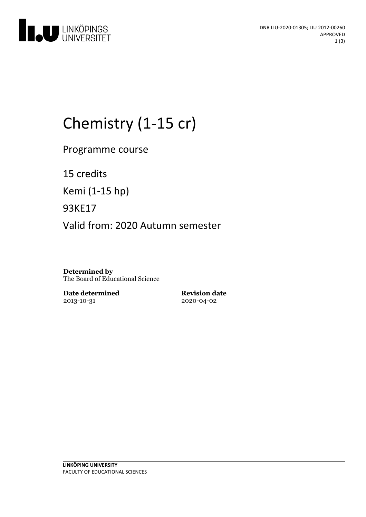

# Chemistry (1-15 cr)

Programme course

15 credits

Kemi (1-15 hp)

93KE17

Valid from: 2020 Autumn semester

**Determined by** The Board of Educational Science

**Date determined** 2013-10-31

**Revision date** 2020-04-02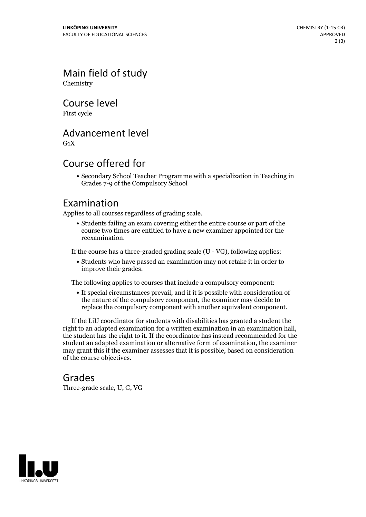Main field of study Chemistry

Course level

First cycle

## Advancement level

 $G_1X$ 

## Course offered for

Secondary School Teacher Programme with a specialization in Teaching in Grades 7-9 of the Compulsory School

#### Examination

Applies to all courses regardless of grading scale.

Students failing an exam covering either the entire course or part of the course two times are entitled to have a new examiner appointed for the reexamination.

If the course has a three-graded grading scale (U - VG), following applies:

Students who have passed an examination may not retake it in order to improve their grades.

The following applies to courses that include a compulsory component:

If special circumstances prevail, and if it is possible with consideration of the nature of the compulsory component, the examiner may decide to replace the compulsory component with another equivalent component.

If the LiU coordinator for students with disabilities has granted a student the right to an adapted examination for <sup>a</sup> written examination in an examination hall, the student has the right to it. If the coordinator has instead recommended for the student an adapted examination or alternative form of examination, the examiner may grant this if the examiner assesses that it is possible, based on consideration of the course objectives.

#### Grades

Three-grade scale, U, G, VG